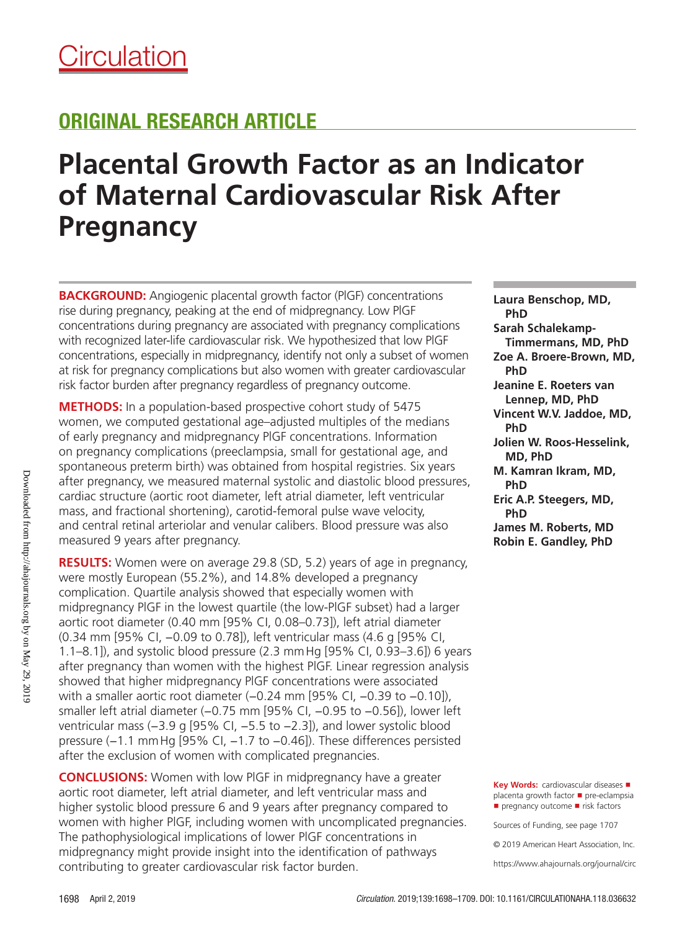# **Placental Growth Factor as an Indicator of Maternal Cardiovascular Risk After Pregnancy**

**BACKGROUND:** Angiogenic placental growth factor (PlGF) concentrations rise during pregnancy, peaking at the end of midpregnancy. Low PlGF concentrations during pregnancy are associated with pregnancy complications with recognized later-life cardiovascular risk. We hypothesized that low PlGF concentrations, especially in midpregnancy, identify not only a subset of women at risk for pregnancy complications but also women with greater cardiovascular risk factor burden after pregnancy regardless of pregnancy outcome.

**METHODS:** In a population-based prospective cohort study of 5475 women, we computed gestational age–adjusted multiples of the medians of early pregnancy and midpregnancy PlGF concentrations. Information on pregnancy complications (preeclampsia, small for gestational age, and spontaneous preterm birth) was obtained from hospital registries. Six years after pregnancy, we measured maternal systolic and diastolic blood pressures, cardiac structure (aortic root diameter, left atrial diameter, left ventricular mass, and fractional shortening), carotid-femoral pulse wave velocity, and central retinal arteriolar and venular calibers. Blood pressure was also measured 9 years after pregnancy.

**RESULTS:** Women were on average 29.8 (SD, 5.2) years of age in pregnancy, were mostly European (55.2%), and 14.8% developed a pregnancy complication. Quartile analysis showed that especially women with midpregnancy PlGF in the lowest quartile (the low-PlGF subset) had a larger aortic root diameter (0.40 mm [95% CI, 0.08–0.73]), left atrial diameter (0.34 mm [95% CI, −0.09 to 0.78]), left ventricular mass (4.6 g [95% CI, 1.1–8.1]), and systolic blood pressure (2.3 mmHg [95% CI, 0.93–3.6]) 6 years after pregnancy than women with the highest PlGF. Linear regression analysis showed that higher midpregnancy PlGF concentrations were associated with a smaller aortic root diameter (–0.24 mm [95% CI, –0.39 to –0.10]), smaller left atrial diameter (−0.75 mm [95% CI, −0.95 to −0.56]), lower left ventricular mass (−3.9 g [95% CI, −5.5 to −2.3]), and lower systolic blood pressure (−1.1 mmHg [95% CI, −1.7 to −0.46]). These differences persisted after the exclusion of women with complicated pregnancies.

**CONCLUSIONS:** Women with low PlGF in midpregnancy have a greater aortic root diameter, left atrial diameter, and left ventricular mass and higher systolic blood pressure 6 and 9 years after pregnancy compared to women with higher PlGF, including women with uncomplicated pregnancies. The pathophysiological implications of lower PlGF concentrations in midpregnancy might provide insight into the identification of pathways contributing to greater cardiovascular risk factor burden.

**Laura Benschop, MD, PhD Sarah Schalekamp-Timmermans, MD, PhD Zoe A. Broere-Brown, MD, PhD Jeanine E. Roeters van Lennep, MD, PhD Vincent W.V. Jaddoe, MD, PhD Jolien W. Roos-Hesselink, MD, PhD M. Kamran Ikram, MD, PhD Eric A.P. Steegers, MD, PhD James M. Roberts, MD Robin E. Gandley, PhD**

**Key Words:** cardiovascular diseases ■ placenta growth factor ◼ pre-eclampsia ■ pregnancy outcome ■ risk factors

Sources of Funding, see page 1707

© 2019 American Heart Association, Inc.

https://www.ahajournals.org/journal/circ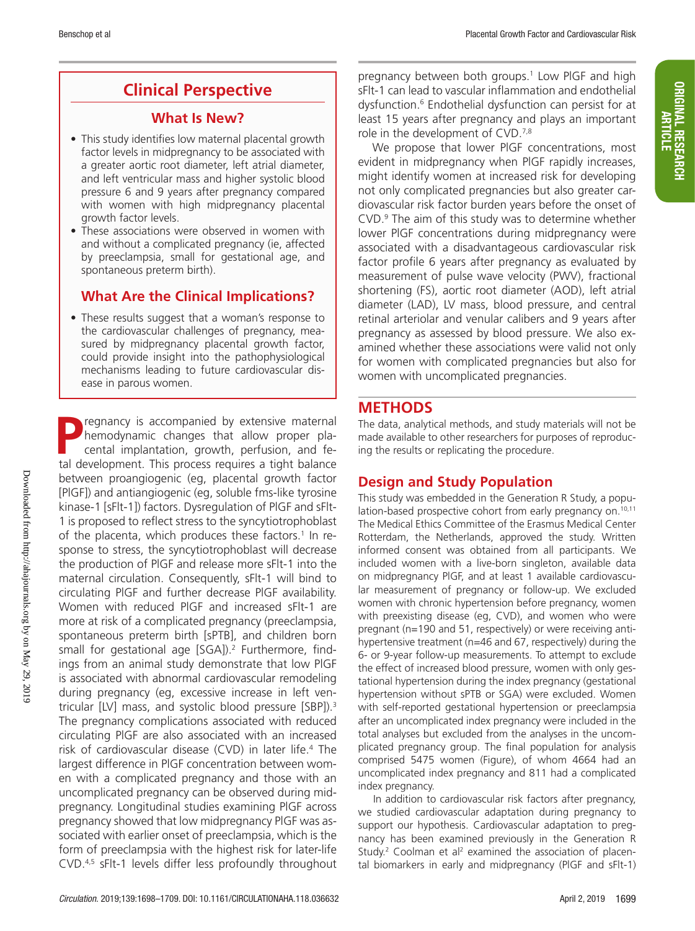**ORIGINAL RESEARCH** 

## **Clinical Perspective**

### **What Is New?**

- This study identifies low maternal placental growth factor levels in midpregnancy to be associated with a greater aortic root diameter, left atrial diameter, and left ventricular mass and higher systolic blood pressure 6 and 9 years after pregnancy compared with women with high midpregnancy placental growth factor levels.
- These associations were observed in women with and without a complicated pregnancy (ie, affected by preeclampsia, small for gestational age, and spontaneous preterm birth).

## **What Are the Clinical Implications?**

• These results suggest that a woman's response to the cardiovascular challenges of pregnancy, measured by midpregnancy placental growth factor, could provide insight into the pathophysiological mechanisms leading to future cardiovascular disease in parous women.

regnancy is accompanied by extensive maternal hemodynamic changes that allow proper placental implantation, growth, perfusion, and fetal development. This process requires a tight balance between proangiogenic (eg, placental growth factor [PlGF]) and antiangiogenic (eg, soluble fms-like tyrosine kinase-1 [sFlt-1]) factors. Dysregulation of PlGF and sFlt-1 is proposed to reflect stress to the syncytiotrophoblast of the placenta, which produces these factors.<sup>1</sup> In response to stress, the syncytiotrophoblast will decrease the production of PlGF and release more sFlt-1 into the maternal circulation. Consequently, sFlt-1 will bind to circulating PlGF and further decrease PlGF availability. Women with reduced PlGF and increased sFlt-1 are more at risk of a complicated pregnancy (preeclampsia, spontaneous preterm birth [sPTB], and children born small for gestational age [SGA]).<sup>2</sup> Furthermore, findings from an animal study demonstrate that low PlGF is associated with abnormal cardiovascular remodeling during pregnancy (eg, excessive increase in left ventricular [LV] mass, and systolic blood pressure [SBP]).<sup>3</sup> The pregnancy complications associated with reduced circulating PlGF are also associated with an increased risk of cardiovascular disease (CVD) in later life.4 The largest difference in PlGF concentration between women with a complicated pregnancy and those with an uncomplicated pregnancy can be observed during midpregnancy. Longitudinal studies examining PlGF across pregnancy showed that low midpregnancy PlGF was associated with earlier onset of preeclampsia, which is the form of preeclampsia with the highest risk for later-life CVD.4,5 sFlt-1 levels differ less profoundly throughout

pregnancy between both groups.<sup>1</sup> Low PIGF and high sFlt-1 can lead to vascular inflammation and endothelial dysfunction.6 Endothelial dysfunction can persist for at least 15 years after pregnancy and plays an important role in the development of CVD.<sup>7,8</sup>

We propose that lower PlGF concentrations, most evident in midpregnancy when PlGF rapidly increases, might identify women at increased risk for developing not only complicated pregnancies but also greater cardiovascular risk factor burden years before the onset of CVD.9 The aim of this study was to determine whether lower PlGF concentrations during midpregnancy were associated with a disadvantageous cardiovascular risk factor profile 6 years after pregnancy as evaluated by measurement of pulse wave velocity (PWV), fractional shortening (FS), aortic root diameter (AOD), left atrial diameter (LAD), LV mass, blood pressure, and central retinal arteriolar and venular calibers and 9 years after pregnancy as assessed by blood pressure. We also examined whether these associations were valid not only for women with complicated pregnancies but also for women with uncomplicated pregnancies.

## **METHODS**

The data, analytical methods, and study materials will not be made available to other researchers for purposes of reproducing the results or replicating the procedure.

## **Design and Study Population**

This study was embedded in the Generation R Study, a population-based prospective cohort from early pregnancy on.<sup>10,11</sup> The Medical Ethics Committee of the Erasmus Medical Center Rotterdam, the Netherlands, approved the study. Written informed consent was obtained from all participants. We included women with a live-born singleton, available data on midpregnancy PlGF, and at least 1 available cardiovascular measurement of pregnancy or follow-up. We excluded women with chronic hypertension before pregnancy, women with preexisting disease (eg, CVD), and women who were pregnant (n=190 and 51, respectively) or were receiving antihypertensive treatment (n=46 and 67, respectively) during the 6- or 9-year follow-up measurements. To attempt to exclude the effect of increased blood pressure, women with only gestational hypertension during the index pregnancy (gestational hypertension without sPTB or SGA) were excluded. Women with self-reported gestational hypertension or preeclampsia after an uncomplicated index pregnancy were included in the total analyses but excluded from the analyses in the uncomplicated pregnancy group. The final population for analysis comprised 5475 women (Figure), of whom 4664 had an uncomplicated index pregnancy and 811 had a complicated index pregnancy.

In addition to cardiovascular risk factors after pregnancy, we studied cardiovascular adaptation during pregnancy to support our hypothesis. Cardiovascular adaptation to pregnancy has been examined previously in the Generation R Study.<sup>2</sup> Coolman et al<sup>2</sup> examined the association of placental biomarkers in early and midpregnancy (PlGF and sFlt-1)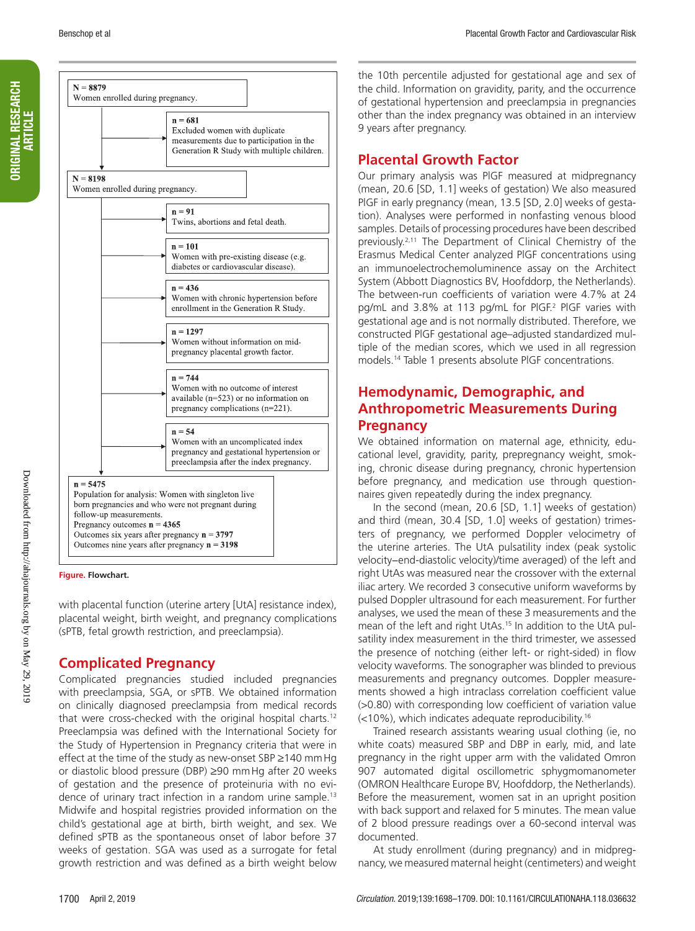**ORIGINAL RESEARCH** 

|            | $n = 681$<br>Excluded women with duplicate<br>measurements due to participation in the<br>Generation R Study with multiple children.                                                                                                                                   |
|------------|------------------------------------------------------------------------------------------------------------------------------------------------------------------------------------------------------------------------------------------------------------------------|
| $N = 8198$ | Women enrolled during pregnancy.                                                                                                                                                                                                                                       |
|            | $n = 91$<br>Twins, abortions and fetal death.                                                                                                                                                                                                                          |
|            | $n = 101$<br>Women with pre-existing disease (e.g.<br>diabetes or cardiovascular disease).                                                                                                                                                                             |
|            | $n = 436$<br>Women with chronic hypertension before<br>enrollment in the Generation R Study.                                                                                                                                                                           |
|            | $n = 1297$<br>Women without information on mid-<br>pregnancy placental growth factor.                                                                                                                                                                                  |
|            | $n = 744$<br>Women with no outcome of interest<br>available ( $n=523$ ) or no information on<br>pregnancy complications (n=221).                                                                                                                                       |
|            | $n = 54$<br>Women with an uncomplicated index<br>pregnancy and gestational hypertension or<br>preeclampsia after the index pregnancy.                                                                                                                                  |
| $n = 5475$ | Population for analysis: Women with singleton live<br>born pregnancies and who were not pregnant during<br>follow-up measurements.<br>Pregnancy outcomes $n = 4365$<br>Outcomes six years after pregnancy $n = 3797$<br>Outcomes nine years after pregnancy $n = 3198$ |

**Figure. Flowchart.**

with placental function (uterine artery [UtA] resistance index), placental weight, birth weight, and pregnancy complications (sPTB, fetal growth restriction, and preeclampsia).

## **Complicated Pregnancy**

Complicated pregnancies studied included pregnancies with preeclampsia, SGA, or sPTB. We obtained information on clinically diagnosed preeclampsia from medical records that were cross-checked with the original hospital charts.12 Preeclampsia was defined with the International Society for the Study of Hypertension in Pregnancy criteria that were in effect at the time of the study as new-onset SBP ≥140 mmHg or diastolic blood pressure (DBP) ≥90 mmHg after 20 weeks of gestation and the presence of proteinuria with no evidence of urinary tract infection in a random urine sample.<sup>13</sup> Midwife and hospital registries provided information on the child's gestational age at birth, birth weight, and sex. We defined sPTB as the spontaneous onset of labor before 37 weeks of gestation. SGA was used as a surrogate for fetal growth restriction and was defined as a birth weight below

the 10th percentile adjusted for gestational age and sex of the child. Information on gravidity, parity, and the occurrence of gestational hypertension and preeclampsia in pregnancies other than the index pregnancy was obtained in an interview 9 years after pregnancy.

## **Placental Growth Factor**

Our primary analysis was PlGF measured at midpregnancy (mean, 20.6 [SD, 1.1] weeks of gestation) We also measured PlGF in early pregnancy (mean, 13.5 [SD, 2.0] weeks of gestation). Analyses were performed in nonfasting venous blood samples. Details of processing procedures have been described previously.2,11 The Department of Clinical Chemistry of the Erasmus Medical Center analyzed PlGF concentrations using an immunoelectrochemoluminence assay on the Architect System (Abbott Diagnostics BV, Hoofddorp, the Netherlands). The between-run coefficients of variation were 4.7% at 24 pg/mL and 3.8% at 113 pg/mL for PlGF.2 PlGF varies with gestational age and is not normally distributed. Therefore, we constructed PlGF gestational age–adjusted standardized multiple of the median scores, which we used in all regression models.14 Table 1 presents absolute PlGF concentrations.

## **Hemodynamic, Demographic, and Anthropometric Measurements During Pregnancy**

We obtained information on maternal age, ethnicity, educational level, gravidity, parity, prepregnancy weight, smoking, chronic disease during pregnancy, chronic hypertension before pregnancy, and medication use through questionnaires given repeatedly during the index pregnancy.

In the second (mean, 20.6 [SD, 1.1] weeks of gestation) and third (mean, 30.4 [SD, 1.0] weeks of gestation) trimesters of pregnancy, we performed Doppler velocimetry of the uterine arteries. The UtA pulsatility index (peak systolic velocity−end-diastolic velocity)/time averaged) of the left and right UtAs was measured near the crossover with the external iliac artery. We recorded 3 consecutive uniform waveforms by pulsed Doppler ultrasound for each measurement. For further analyses, we used the mean of these 3 measurements and the mean of the left and right UtAs.<sup>15</sup> In addition to the UtA pulsatility index measurement in the third trimester, we assessed the presence of notching (either left- or right-sided) in flow velocity waveforms. The sonographer was blinded to previous measurements and pregnancy outcomes. Doppler measurements showed a high intraclass correlation coefficient value (>0.80) with corresponding low coefficient of variation value (<10%), which indicates adequate reproducibility.16

Trained research assistants wearing usual clothing (ie, no white coats) measured SBP and DBP in early, mid, and late pregnancy in the right upper arm with the validated Omron 907 automated digital oscillometric sphygmomanometer (OMRON Healthcare Europe BV, Hoofddorp, the Netherlands). Before the measurement, women sat in an upright position with back support and relaxed for 5 minutes. The mean value of 2 blood pressure readings over a 60-second interval was documented.

At study enrollment (during pregnancy) and in midpregnancy, we measured maternal height (centimeters) and weight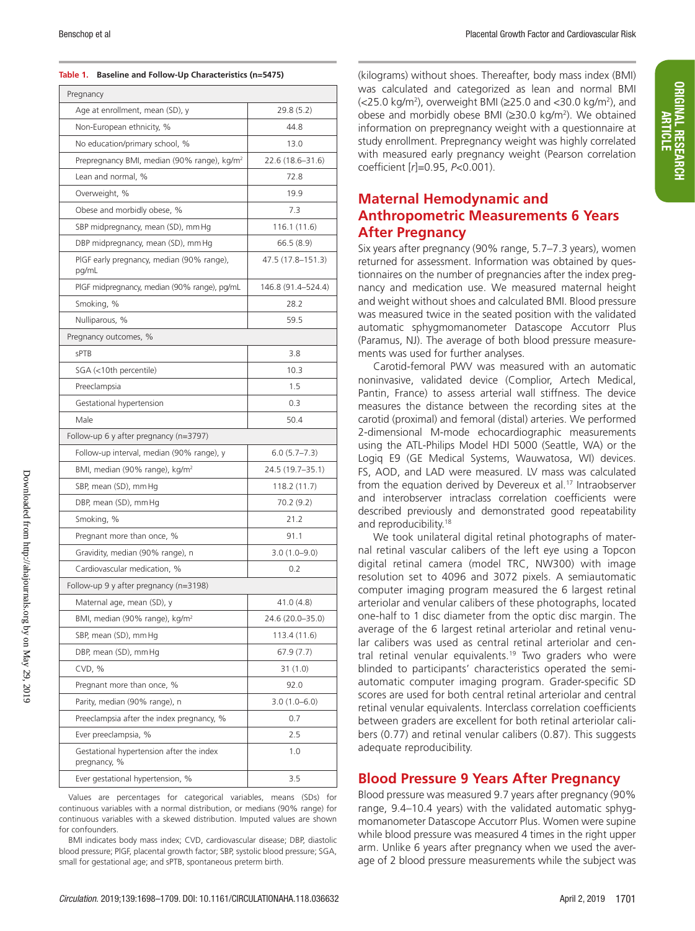#### **Table 1. Baseline and Follow-Up Characteristics (n=5475)**

| Pregnancy                                                |                    |  |  |  |  |  |  |
|----------------------------------------------------------|--------------------|--|--|--|--|--|--|
| Age at enrollment, mean (SD), y                          | 29.8 (5.2)         |  |  |  |  |  |  |
| Non-European ethnicity, %                                | 44.8               |  |  |  |  |  |  |
| No education/primary school, %                           | 13.0               |  |  |  |  |  |  |
| Prepregnancy BMI, median (90% range), kg/m <sup>2</sup>  | 22.6 (18.6-31.6)   |  |  |  |  |  |  |
| Lean and normal, %                                       | 72.8               |  |  |  |  |  |  |
| Overweight, %                                            | 19.9               |  |  |  |  |  |  |
| Obese and morbidly obese, %                              | 7.3                |  |  |  |  |  |  |
| SBP midpregnancy, mean (SD), mm Hg                       | 116.1 (11.6)       |  |  |  |  |  |  |
| DBP midpregnancy, mean (SD), mm Hg                       | 66.5(8.9)          |  |  |  |  |  |  |
| PIGF early pregnancy, median (90% range),<br>pg/mL       | 47.5 (17.8–151.3)  |  |  |  |  |  |  |
| PIGF midpregnancy, median (90% range), pg/mL             | 146.8 (91.4-524.4) |  |  |  |  |  |  |
| Smoking, %                                               | 28.2               |  |  |  |  |  |  |
| Nulliparous, %                                           | 59.5               |  |  |  |  |  |  |
| Pregnancy outcomes, %                                    |                    |  |  |  |  |  |  |
| sPTB                                                     | 3.8                |  |  |  |  |  |  |
| SGA (<10th percentile)                                   | 10.3               |  |  |  |  |  |  |
| Preeclampsia                                             | 1.5                |  |  |  |  |  |  |
| Gestational hypertension                                 | 0.3                |  |  |  |  |  |  |
| Male                                                     | 50.4               |  |  |  |  |  |  |
| Follow-up 6 y after pregnancy ( $n=3797$ )               |                    |  |  |  |  |  |  |
| Follow-up interval, median (90% range), y                | 6.0(5.7–7.3)       |  |  |  |  |  |  |
| BMI, median (90% range), kg/m <sup>2</sup>               | 24.5 (19.7–35.1)   |  |  |  |  |  |  |
| SBP, mean (SD), mm Hg                                    | 118.2 (11.7)       |  |  |  |  |  |  |
| DBP, mean (SD), mm Hg                                    | 70.2 (9.2)         |  |  |  |  |  |  |
| Smoking, %                                               | 21.2               |  |  |  |  |  |  |
| Pregnant more than once, %                               | 91.1               |  |  |  |  |  |  |
| Gravidity, median (90% range), n                         | $3.0(1.0 - 9.0)$   |  |  |  |  |  |  |
| Cardiovascular medication, %                             | 0.2                |  |  |  |  |  |  |
| Follow-up 9 y after pregnancy ( $n=3198$ )               |                    |  |  |  |  |  |  |
| Maternal age, mean (SD), y                               | 41.0 (4.8)         |  |  |  |  |  |  |
| BMI, median (90% range), kg/m <sup>2</sup>               | 24.6 (20.0–35.0)   |  |  |  |  |  |  |
| SBP, mean (SD), mm Hg                                    | 113.4 (11.6)       |  |  |  |  |  |  |
| DBP, mean (SD), mm Hg                                    | 67.9(7.7)          |  |  |  |  |  |  |
| CVD, %                                                   | 31(1.0)            |  |  |  |  |  |  |
| Pregnant more than once, %                               | 92.0               |  |  |  |  |  |  |
| Parity, median (90% range), n                            | $3.0(1.0 - 6.0)$   |  |  |  |  |  |  |
| Preeclampsia after the index pregnancy, %                | 0.7                |  |  |  |  |  |  |
| Ever preeclampsia, %                                     | 2.5                |  |  |  |  |  |  |
| Gestational hypertension after the index<br>pregnancy, % | 1.0                |  |  |  |  |  |  |
| Ever gestational hypertension, %                         | 3.5                |  |  |  |  |  |  |

Values are percentages for categorical variables, means (SDs) for continuous variables with a normal distribution, or medians (90% range) for continuous variables with a skewed distribution. Imputed values are shown for confounders.

BMI indicates body mass index; CVD, cardiovascular disease; DBP, diastolic blood pressure; PlGF, placental growth factor; SBP, systolic blood pressure; SGA, small for gestational age; and sPTB, spontaneous preterm birth.

(kilograms) without shoes. Thereafter, body mass index (BMI) was calculated and categorized as lean and normal BMI (<25.0 kg/m2 ), overweight BMI (≥25.0 and <30.0 kg/m2 ), and obese and morbidly obese BMI (≥30.0 kg/m2 ). We obtained information on prepregnancy weight with a questionnaire at study enrollment. Prepregnancy weight was highly correlated with measured early pregnancy weight (Pearson correlation coefficient [*r*]=0.95, *P*<0.001).

## **Maternal Hemodynamic and Anthropometric Measurements 6 Years After Pregnancy**

Six years after pregnancy (90% range, 5.7–7.3 years), women returned for assessment. Information was obtained by questionnaires on the number of pregnancies after the index pregnancy and medication use. We measured maternal height and weight without shoes and calculated BMI. Blood pressure was measured twice in the seated position with the validated automatic sphygmomanometer Datascope Accutorr Plus (Paramus, NJ). The average of both blood pressure measurements was used for further analyses.

Carotid-femoral PWV was measured with an automatic noninvasive, validated device (Complior, Artech Medical, Pantin, France) to assess arterial wall stiffness. The device measures the distance between the recording sites at the carotid (proximal) and femoral (distal) arteries. We performed 2-dimensional M-mode echocardiographic measurements using the ATL-Philips Model HDI 5000 (Seattle, WA) or the Logiq E9 (GE Medical Systems, Wauwatosa, WI) devices. FS, AOD, and LAD were measured. LV mass was calculated from the equation derived by Devereux et al.<sup>17</sup> Intraobserver and interobserver intraclass correlation coefficients were described previously and demonstrated good repeatability and reproducibility.<sup>18</sup>

We took unilateral digital retinal photographs of maternal retinal vascular calibers of the left eye using a Topcon digital retinal camera (model TRC, NW300) with image resolution set to 4096 and 3072 pixels. A semiautomatic computer imaging program measured the 6 largest retinal arteriolar and venular calibers of these photographs, located one-half to 1 disc diameter from the optic disc margin. The average of the 6 largest retinal arteriolar and retinal venular calibers was used as central retinal arteriolar and central retinal venular equivalents.<sup>19</sup> Two graders who were blinded to participants' characteristics operated the semiautomatic computer imaging program. Grader-specific SD scores are used for both central retinal arteriolar and central retinal venular equivalents. Interclass correlation coefficients between graders are excellent for both retinal arteriolar calibers (0.77) and retinal venular calibers (0.87). This suggests adequate reproducibility.

#### **Blood Pressure 9 Years After Pregnancy**

Blood pressure was measured 9.7 years after pregnancy (90% range, 9.4–10.4 years) with the validated automatic sphygmomanometer Datascope Accutorr Plus. Women were supine while blood pressure was measured 4 times in the right upper arm. Unlike 6 years after pregnancy when we used the average of 2 blood pressure measurements while the subject was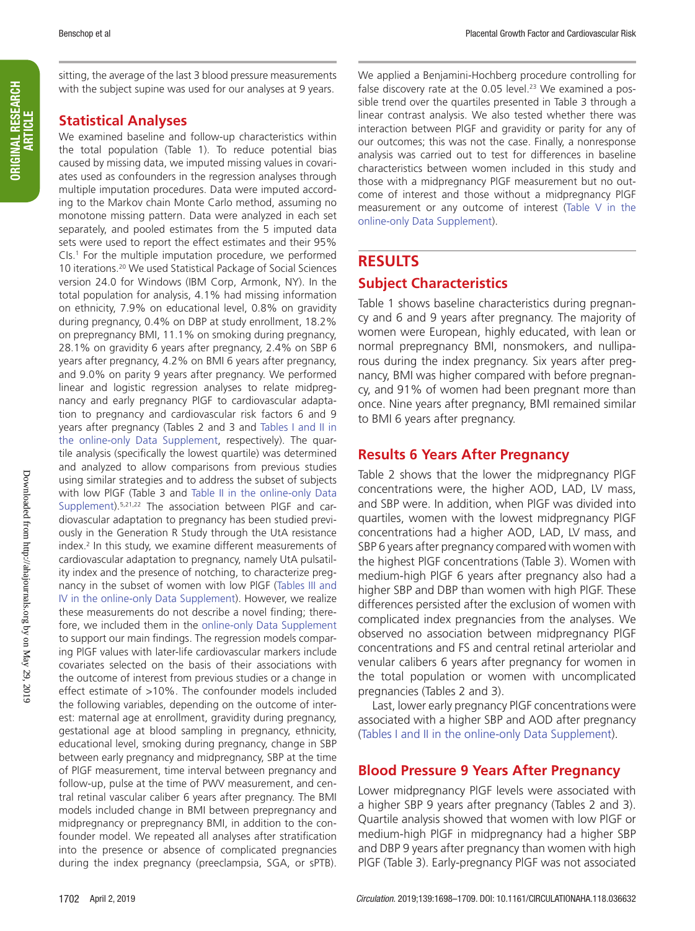ORIGINAL RESEARCH ORIGINAL RESEARCH<br>| ARTICLE sitting, the average of the last 3 blood pressure measurements with the subject supine was used for our analyses at 9 years.

## **Statistical Analyses**

We examined baseline and follow-up characteristics within the total population (Table 1). To reduce potential bias caused by missing data, we imputed missing values in covariates used as confounders in the regression analyses through multiple imputation procedures. Data were imputed according to the Markov chain Monte Carlo method, assuming no monotone missing pattern. Data were analyzed in each set separately, and pooled estimates from the 5 imputed data sets were used to report the effect estimates and their 95% CIs.1 For the multiple imputation procedure, we performed 10 iterations.20 We used Statistical Package of Social Sciences version 24.0 for Windows (IBM Corp, Armonk, NY). In the total population for analysis, 4.1% had missing information on ethnicity, 7.9% on educational level, 0.8% on gravidity during pregnancy, 0.4% on DBP at study enrollment, 18.2% on prepregnancy BMI, 11.1% on smoking during pregnancy, 28.1% on gravidity 6 years after pregnancy, 2.4% on SBP 6 years after pregnancy, 4.2% on BMI 6 years after pregnancy, and 9.0% on parity 9 years after pregnancy. We performed linear and logistic regression analyses to relate midpregnancy and early pregnancy PlGF to cardiovascular adaptation to pregnancy and cardiovascular risk factors 6 and 9 years after pregnancy (Tables 2 and 3 and Tables I and II in the online-only Data Supplement, respectively). The quartile analysis (specifically the lowest quartile) was determined and analyzed to allow comparisons from previous studies using similar strategies and to address the subset of subjects with low PlGF (Table 3 and Table II in the online-only Data Supplement).5,21,22 The association between PlGF and cardiovascular adaptation to pregnancy has been studied previously in the Generation R Study through the UtA resistance index.2 In this study, we examine different measurements of cardiovascular adaptation to pregnancy, namely UtA pulsatility index and the presence of notching, to characterize pregnancy in the subset of women with low PlGF (Tables III and IV in the online-only Data Supplement). However, we realize these measurements do not describe a novel finding; therefore, we included them in the online-only Data Supplement to support our main findings. The regression models comparing PlGF values with later-life cardiovascular markers include covariates selected on the basis of their associations with the outcome of interest from previous studies or a change in effect estimate of >10%. The confounder models included the following variables, depending on the outcome of interest: maternal age at enrollment, gravidity during pregnancy, gestational age at blood sampling in pregnancy, ethnicity, educational level, smoking during pregnancy, change in SBP between early pregnancy and midpregnancy, SBP at the time of PlGF measurement, time interval between pregnancy and follow-up, pulse at the time of PWV measurement, and central retinal vascular caliber 6 years after pregnancy. The BMI models included change in BMI between prepregnancy and midpregnancy or prepregnancy BMI, in addition to the confounder model. We repeated all analyses after stratification into the presence or absence of complicated pregnancies during the index pregnancy (preeclampsia, SGA, or sPTB).

We applied a Benjamini-Hochberg procedure controlling for false discovery rate at the  $0.05$  level.<sup>23</sup> We examined a possible trend over the quartiles presented in Table 3 through a linear contrast analysis. We also tested whether there was interaction between PlGF and gravidity or parity for any of our outcomes; this was not the case. Finally, a nonresponse analysis was carried out to test for differences in baseline characteristics between women included in this study and those with a midpregnancy PlGF measurement but no outcome of interest and those without a midpregnancy PlGF measurement or any outcome of interest (Table V in the online-only Data Supplement).

## **RESULTS**

## **Subject Characteristics**

Table 1 shows baseline characteristics during pregnancy and 6 and 9 years after pregnancy. The majority of women were European, highly educated, with lean or normal prepregnancy BMI, nonsmokers, and nulliparous during the index pregnancy. Six years after pregnancy, BMI was higher compared with before pregnancy, and 91% of women had been pregnant more than once. Nine years after pregnancy, BMI remained similar to BMI 6 years after pregnancy.

## **Results 6 Years After Pregnancy**

Table 2 shows that the lower the midpregnancy PlGF concentrations were, the higher AOD, LAD, LV mass, and SBP were. In addition, when PlGF was divided into quartiles, women with the lowest midpregnancy PlGF concentrations had a higher AOD, LAD, LV mass, and SBP 6 years after pregnancy compared with women with the highest PlGF concentrations (Table 3). Women with medium-high PlGF 6 years after pregnancy also had a higher SBP and DBP than women with high PlGF. These differences persisted after the exclusion of women with complicated index pregnancies from the analyses. We observed no association between midpregnancy PlGF concentrations and FS and central retinal arteriolar and venular calibers 6 years after pregnancy for women in the total population or women with uncomplicated pregnancies (Tables 2 and 3).

Last, lower early pregnancy PlGF concentrations were associated with a higher SBP and AOD after pregnancy (Tables I and II in the online-only Data Supplement).

## **Blood Pressure 9 Years After Pregnancy**

Lower midpregnancy PlGF levels were associated with a higher SBP 9 years after pregnancy (Tables 2 and 3). Quartile analysis showed that women with low PlGF or medium-high PlGF in midpregnancy had a higher SBP and DBP 9 years after pregnancy than women with high PlGF (Table 3). Early-pregnancy PlGF was not associated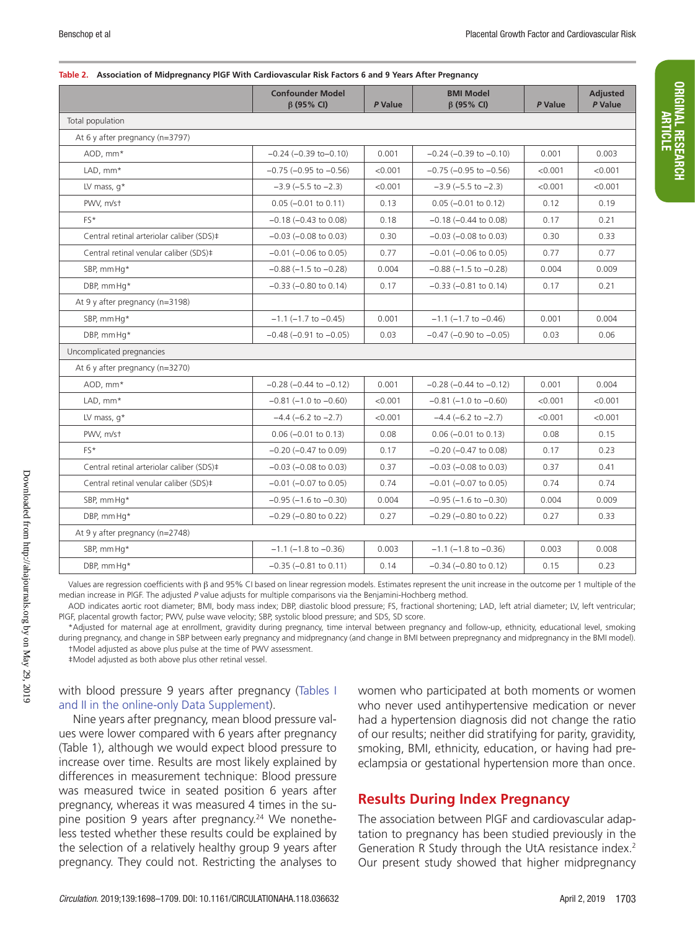#### **Table 2. Association of Midpregnancy PlGF With Cardiovascular Risk Factors 6 and 9 Years After Pregnancy**

|                                           | <b>Confounder Model</b><br>β (95% CI)     | P Value | <b>BMI Model</b><br>$\beta$ (95% CI) | P Value | <b>Adjusted</b><br>P Value |  |  |  |  |  |
|-------------------------------------------|-------------------------------------------|---------|--------------------------------------|---------|----------------------------|--|--|--|--|--|
| Total population                          |                                           |         |                                      |         |                            |  |  |  |  |  |
| At 6 y after pregnancy (n=3797)           |                                           |         |                                      |         |                            |  |  |  |  |  |
| AOD, mm*                                  | $-0.24$ ( $-0.39$ to $-0.10$ )            | 0.001   | $-0.24$ ( $-0.39$ to $-0.10$ )       | 0.001   | 0.003                      |  |  |  |  |  |
| LAD, mm*                                  | $-0.75$ ( $-0.95$ to $-0.56$ )<br>< 0.001 |         | $-0.75$ ( $-0.95$ to $-0.56$ )       | < 0.001 | < 0.001                    |  |  |  |  |  |
| LV mass, $q^*$                            | $-3.9$ ( $-5.5$ to $-2.3$ )               | < 0.001 | $-3.9$ ( $-5.5$ to $-2.3$ )          | < 0.001 | < 0.001                    |  |  |  |  |  |
| PWV, m/st                                 | $0.05$ ( $-0.01$ to $0.11$ )              | 0.13    | $0.05$ (-0.01 to 0.12)               | 0.12    | 0.19                       |  |  |  |  |  |
| FS*                                       | $-0.18$ ( $-0.43$ to 0.08)                | 0.18    | $-0.18$ ( $-0.44$ to 0.08)           | 0.17    | 0.21                       |  |  |  |  |  |
| Central retinal arteriolar caliber (SDS)‡ | $-0.03$ ( $-0.08$ to 0.03)                | 0.30    | $-0.03$ ( $-0.08$ to 0.03)           | 0.30    | 0.33                       |  |  |  |  |  |
| Central retinal venular caliber (SDS)‡    | $-0.01$ ( $-0.06$ to 0.05)                | 0.77    | $-0.01$ ( $-0.06$ to 0.05)           | 0.77    | 0.77                       |  |  |  |  |  |
| SBP, mm Hq*                               | $-0.88$ ( $-1.5$ to $-0.28$ )             | 0.004   | $-0.88$ ( $-1.5$ to $-0.28$ )        | 0.004   | 0.009                      |  |  |  |  |  |
| DBP, mmHq*                                | $-0.33$ ( $-0.80$ to 0.14)                | 0.17    | $-0.33$ ( $-0.81$ to 0.14)           | 0.17    | 0.21                       |  |  |  |  |  |
| At 9 y after pregnancy (n=3198)           |                                           |         |                                      |         |                            |  |  |  |  |  |
| SBP, mm Hq*                               | $-1.1$ ( $-1.7$ to $-0.45$ )              | 0.001   | $-1.1$ ( $-1.7$ to $-0.46$ )         | 0.001   | 0.004                      |  |  |  |  |  |
| DBP, mmHa*                                | $-0.48$ ( $-0.91$ to $-0.05$ )            | 0.03    | $-0.47$ ( $-0.90$ to $-0.05$ )       | 0.03    | 0.06                       |  |  |  |  |  |
| Uncomplicated pregnancies                 |                                           |         |                                      |         |                            |  |  |  |  |  |
| At 6 y after pregnancy (n=3270)           |                                           |         |                                      |         |                            |  |  |  |  |  |
| AOD, mm*                                  | $-0.28$ ( $-0.44$ to $-0.12$ )            | 0.001   | $-0.28$ ( $-0.44$ to $-0.12$ )       | 0.001   | 0.004                      |  |  |  |  |  |
| LAD, mm*                                  | $-0.81$ ( $-1.0$ to $-0.60$ )             | < 0.001 | $-0.81$ ( $-1.0$ to $-0.60$ )        | < 0.001 | < 0.001                    |  |  |  |  |  |
| LV mass, $q^*$                            | $-4.4$ (-6.2 to $-2.7$ )                  | < 0.001 | $-4.4$ (-6.2 to $-2.7$ )             | < 0.001 | < 0.001                    |  |  |  |  |  |
| PWV, m/st                                 | $0.06 (-0.01 to 0.13)$                    | 0.08    | $0.06 (-0.01 to 0.13)$               | 0.08    | 0.15                       |  |  |  |  |  |
| FS*                                       | $-0.20$ ( $-0.47$ to 0.09)                | 0.17    | $-0.20$ ( $-0.47$ to 0.08)           | 0.17    | 0.23                       |  |  |  |  |  |
| Central retinal arteriolar caliber (SDS)‡ | $-0.03$ ( $-0.08$ to 0.03)                | 0.37    | $-0.03$ ( $-0.08$ to 0.03)           | 0.37    | 0.41                       |  |  |  |  |  |
| Central retinal venular caliber (SDS)‡    | $-0.01$ ( $-0.07$ to 0.05)                | 0.74    | $-0.01$ ( $-0.07$ to 0.05)           | 0.74    | 0.74                       |  |  |  |  |  |
| SBP, mm Ha*                               | $-0.95$ ( $-1.6$ to $-0.30$ )             | 0.004   | $-0.95$ ( $-1.6$ to $-0.30$ )        | 0.004   | 0.009                      |  |  |  |  |  |
| DBP, mm Ha*                               | $-0.29$ ( $-0.80$ to 0.22)                | 0.27    | $-0.29$ ( $-0.80$ to 0.22)           | 0.27    | 0.33                       |  |  |  |  |  |
| At 9 y after pregnancy (n=2748)           |                                           |         |                                      |         |                            |  |  |  |  |  |
| SBP, mmHq*                                | $-1.1$ ( $-1.8$ to $-0.36$ )              | 0.003   | $-1.1$ ( $-1.8$ to $-0.36$ )         | 0.003   | 0.008                      |  |  |  |  |  |
| DBP, mm Hq*                               | $-0.35$ $(-0.81$ to $0.11)$               | 0.14    | $-0.34$ ( $-0.80$ to 0.12)           | 0.15    | 0.23                       |  |  |  |  |  |

Values are regression coefficients with β and 95% CI based on linear regression models. Estimates represent the unit increase in the outcome per 1 multiple of the median increase in PlGF. The adjusted *P* value adjusts for multiple comparisons via the Benjamini-Hochberg method.

AOD indicates aortic root diameter; BMI, body mass index; DBP, diastolic blood pressure; FS, fractional shortening; LAD, left atrial diameter; LV, left ventricular; PlGF, placental growth factor; PWV, pulse wave velocity; SBP, systolic blood pressure; and SDS, SD score.

\*Adjusted for maternal age at enrollment, gravidity during pregnancy, time interval between pregnancy and follow-up, ethnicity, educational level, smoking during pregnancy, and change in SBP between early pregnancy and midpregnancy (and change in BMI between prepregnancy and midpregnancy in the BMI model). †Model adjusted as above plus pulse at the time of PWV assessment.

‡Model adjusted as both above plus other retinal vessel.

#### with blood pressure 9 years after pregnancy (Tables I and II in the online-only Data Supplement).

Nine years after pregnancy, mean blood pressure values were lower compared with 6 years after pregnancy (Table 1), although we would expect blood pressure to increase over time. Results are most likely explained by differences in measurement technique: Blood pressure was measured twice in seated position 6 years after pregnancy, whereas it was measured 4 times in the supine position 9 years after pregnancy.<sup>24</sup> We nonetheless tested whether these results could be explained by the selection of a relatively healthy group 9 years after pregnancy. They could not. Restricting the analyses to

women who participated at both moments or women who never used antihypertensive medication or never had a hypertension diagnosis did not change the ratio of our results; neither did stratifying for parity, gravidity, smoking, BMI, ethnicity, education, or having had preeclampsia or gestational hypertension more than once.

## **Results During Index Pregnancy**

The association between PlGF and cardiovascular adaptation to pregnancy has been studied previously in the Generation R Study through the UtA resistance index.<sup>2</sup> Our present study showed that higher midpregnancy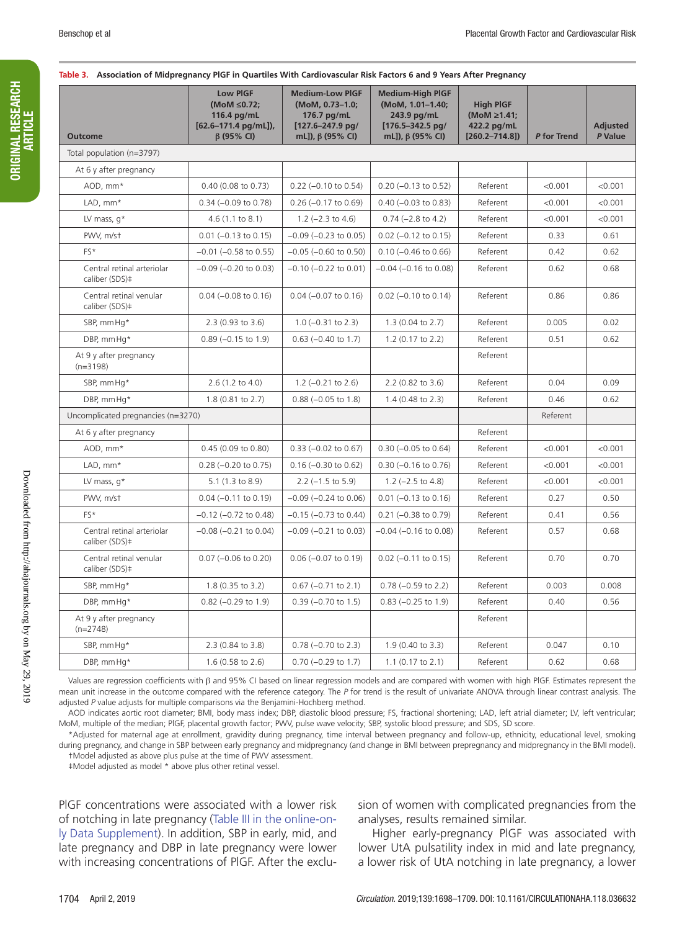| <b>Outcome</b>                               | <b>Low PIGF</b><br>(MoM ≤0.72;<br>116.4 pg/mL<br>[62.6-171.4 pg/mL]),<br>$\beta$ (95% CI) | <b>Medium-Low PIGF</b><br>(MoM, 0.73-1.0;<br>176.7 pg/mL<br>$[127.6 - 247.9$ pg/<br>mL]), β (95% CI) | <b>Medium-High PIGF</b><br>(MoM, 1.01-1.40;<br>243.9 pg/mL<br>$[176.5 - 342.5$ pg/<br>mL]), β (95% CI) | <b>High PIGF</b><br>(MoM ≥1.41;<br>422.2 pg/mL<br>$[260.2 - 714.8]$ | P for Trend | <b>Adjusted</b><br>P Value |
|----------------------------------------------|-------------------------------------------------------------------------------------------|------------------------------------------------------------------------------------------------------|--------------------------------------------------------------------------------------------------------|---------------------------------------------------------------------|-------------|----------------------------|
| Total population (n=3797)                    |                                                                                           |                                                                                                      |                                                                                                        |                                                                     |             |                            |
| At 6 y after pregnancy                       |                                                                                           |                                                                                                      |                                                                                                        |                                                                     |             |                            |
| AOD, mm*                                     | 0.40 (0.08 to 0.73)                                                                       | $0.22$ (-0.10 to 0.54)                                                                               | $0.20$ (-0.13 to 0.52)                                                                                 | Referent                                                            | < 0.001     | < 0.001                    |
| LAD, mm*                                     | $0.34 (-0.09$ to $0.78)$                                                                  | $0.26$ (-0.17 to 0.69)                                                                               | $0.40$ (-0.03 to 0.83)                                                                                 | Referent                                                            | < 0.001     | < 0.001                    |
| LV mass, $q^*$                               | 4.6(1.1 to 8.1)                                                                           | 1.2 $(-2.3$ to 4.6)                                                                                  | $0.74 (-2.8 to 4.2)$                                                                                   | Referent                                                            | < 0.001     | < 0.001                    |
| PWV, m/st                                    | $0.01$ (-0.13 to 0.15)                                                                    | $-0.09$ ( $-0.23$ to 0.05)                                                                           | $0.02$ (-0.12 to 0.15)                                                                                 | Referent                                                            | 0.33        | 0.61                       |
| FS*                                          | $-0.01$ ( $-0.58$ to 0.55)                                                                | $-0.05$ ( $-0.60$ to 0.50)                                                                           | $0.10$ (-0.46 to 0.66)                                                                                 | Referent                                                            | 0.42        | 0.62                       |
| Central retinal arteriolar<br>caliber (SDS)‡ | $-0.09$ ( $-0.20$ to 0.03)                                                                | $-0.10$ ( $-0.22$ to 0.01)                                                                           | $-0.04$ ( $-0.16$ to 0.08)                                                                             | Referent                                                            | 0.62        | 0.68                       |
| Central retinal venular<br>caliber (SDS)‡    | $0.04 (-0.08 to 0.16)$                                                                    | $0.04 (-0.07 to 0.16)$                                                                               | $0.02$ (-0.10 to 0.14)                                                                                 | Referent                                                            | 0.86        | 0.86                       |
| SBP, mm Hq*                                  | 2.3 (0.93 to 3.6)                                                                         | $1.0$ (-0.31 to 2.3)                                                                                 | 1.3 (0.04 to 2.7)                                                                                      | Referent                                                            | 0.005       | 0.02                       |
| DBP, mmHq*                                   | $0.89$ (-0.15 to 1.9)                                                                     | $0.63$ (-0.40 to 1.7)                                                                                | 1.2 (0.17 to 2.2)                                                                                      | Referent                                                            | 0.51        | 0.62                       |
| At 9 y after pregnancy<br>$(n=3198)$         |                                                                                           |                                                                                                      |                                                                                                        | Referent                                                            |             |                            |
| SBP, mm Hq*                                  | $2.6(1.2 \text{ to } 4.0)$                                                                | $1.2$ (-0.21 to 2.6)                                                                                 | 2.2 (0.82 to 3.6)                                                                                      | Referent                                                            | 0.04        | 0.09                       |
| DBP, mmHq*                                   | 1.8 (0.81 to 2.7)                                                                         | $0.88 (-0.05 to 1.8)$                                                                                | $1.4$ (0.48 to 2.3)                                                                                    | Referent                                                            | 0.46        | 0.62                       |
| Uncomplicated pregnancies (n=3270)           |                                                                                           |                                                                                                      |                                                                                                        |                                                                     | Referent    |                            |
| At 6 y after pregnancy                       |                                                                                           |                                                                                                      |                                                                                                        | Referent                                                            |             |                            |
| AOD, mm*                                     | 0.45 (0.09 to 0.80)                                                                       | $0.33$ (-0.02 to 0.67)                                                                               | $0.30$ (-0.05 to 0.64)                                                                                 | Referent                                                            | < 0.001     | < 0.001                    |
| LAD, mm*                                     | $0.28$ (-0.20 to 0.75)                                                                    | $0.16 (-0.30 to 0.62)$                                                                               | $0.30$ (-0.16 to 0.76)                                                                                 | Referent                                                            | < 0.001     | < 0.001                    |
| LV mass, $q^*$                               | 5.1 (1.3 to 8.9)                                                                          | $2.2$ ( $-1.5$ to $5.9$ )                                                                            | $1.2$ (-2.5 to 4.8)                                                                                    | Referent                                                            | < 0.001     | < 0.001                    |
| PWV, m/st                                    | $0.04 (-0.11$ to $0.19)$                                                                  | $-0.09$ ( $-0.24$ to 0.06)                                                                           | $0.01$ (-0.13 to 0.16)                                                                                 | Referent                                                            | 0.27        | 0.50                       |
| FS*                                          | $-0.12$ $(-0.72$ to $0.48)$                                                               | $-0.15$ ( $-0.73$ to 0.44)                                                                           | $0.21$ (-0.38 to 0.79)                                                                                 | Referent                                                            | 0.41        | 0.56                       |
| Central retinal arteriolar<br>caliber (SDS)‡ | $-0.08$ ( $-0.21$ to 0.04)                                                                | $-0.09$ ( $-0.21$ to 0.03)                                                                           | $-0.04$ ( $-0.16$ to 0.08)                                                                             | Referent                                                            | 0.57        | 0.68                       |
| Central retinal venular<br>caliber (SDS)‡    | $0.07$ (-0.06 to 0.20)                                                                    | $0.06$ (-0.07 to 0.19)                                                                               | $0.02$ (-0.11 to 0.15)                                                                                 | Referent                                                            | 0.70        | 0.70                       |
| SBP, mm Hq*                                  | 1.8 (0.35 to 3.2)                                                                         | $0.67$ (-0.71 to 2.1)                                                                                | $0.78$ (-0.59 to 2.2)                                                                                  | Referent                                                            | 0.003       | 0.008                      |
| DBP, mm Hq*                                  | $0.82$ (-0.29 to 1.9)                                                                     | $0.39$ (-0.70 to 1.5)                                                                                | $0.83$ (-0.25 to 1.9)                                                                                  | Referent                                                            | 0.40        | 0.56                       |
| At 9 y after pregnancy<br>$(n=2748)$         |                                                                                           |                                                                                                      |                                                                                                        | Referent                                                            |             |                            |
| SBP, mm Hq*                                  | 2.3 (0.84 to 3.8)                                                                         | $0.78$ (-0.70 to 2.3)                                                                                | 1.9 (0.40 to 3.3)                                                                                      | Referent                                                            | 0.047       | 0.10                       |
| DBP, mm Hq*                                  | 1.6 (0.58 to 2.6)                                                                         | $0.70$ (-0.29 to 1.7)                                                                                | 1.1 (0.17 to 2.1)                                                                                      | Referent                                                            | 0.62        | 0.68                       |

Values are regression coefficients with β and 95% CI based on linear regression models and are compared with women with high PlGF. Estimates represent the mean unit increase in the outcome compared with the reference category. The *P* for trend is the result of univariate ANOVA through linear contrast analysis. The adjusted *P* value adjusts for multiple comparisons via the Benjamini-Hochberg method.

AOD indicates aortic root diameter; BMI, body mass index; DBP, diastolic blood pressure; FS, fractional shortening; LAD, left atrial diameter; LV, left ventricular; MoM, multiple of the median; PlGF, placental growth factor; PWV, pulse wave velocity; SBP, systolic blood pressure; and SDS, SD score.

\*Adjusted for maternal age at enrollment, gravidity during pregnancy, time interval between pregnancy and follow-up, ethnicity, educational level, smoking during pregnancy, and change in SBP between early pregnancy and midpregnancy (and change in BMI between prepregnancy and midpregnancy in the BMI model). †Model adjusted as above plus pulse at the time of PWV assessment.

‡Model adjusted as model \* above plus other retinal vessel.

PlGF concentrations were associated with a lower risk of notching in late pregnancy (Table III in the online-only Data Supplement). In addition, SBP in early, mid, and late pregnancy and DBP in late pregnancy were lower with increasing concentrations of PlGF. After the exclusion of women with complicated pregnancies from the analyses, results remained similar.

Higher early-pregnancy PlGF was associated with lower UtA pulsatility index in mid and late pregnancy, a lower risk of UtA notching in late pregnancy, a lower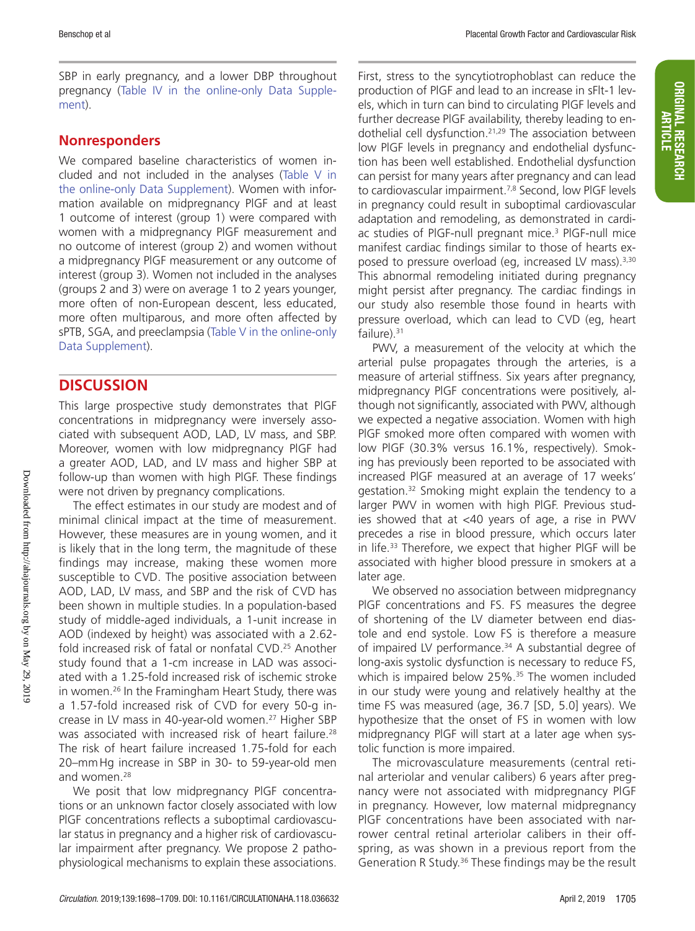SBP in early pregnancy, and a lower DBP throughout pregnancy (Table IV in the online-only Data Supplement).

## **Nonresponders**

We compared baseline characteristics of women included and not included in the analyses (Table V in the online-only Data Supplement). Women with information available on midpregnancy PlGF and at least 1 outcome of interest (group 1) were compared with women with a midpregnancy PlGF measurement and no outcome of interest (group 2) and women without a midpregnancy PlGF measurement or any outcome of interest (group 3). Women not included in the analyses (groups 2 and 3) were on average 1 to 2 years younger, more often of non-European descent, less educated, more often multiparous, and more often affected by sPTB, SGA, and preeclampsia (Table V in the online-only Data Supplement).

## **DISCUSSION**

This large prospective study demonstrates that PlGF concentrations in midpregnancy were inversely associated with subsequent AOD, LAD, LV mass, and SBP. Moreover, women with low midpregnancy PlGF had a greater AOD, LAD, and LV mass and higher SBP at follow-up than women with high PlGF. These findings were not driven by pregnancy complications.

The effect estimates in our study are modest and of minimal clinical impact at the time of measurement. However, these measures are in young women, and it is likely that in the long term, the magnitude of these findings may increase, making these women more susceptible to CVD. The positive association between AOD, LAD, LV mass, and SBP and the risk of CVD has been shown in multiple studies. In a population-based study of middle-aged individuals, a 1-unit increase in AOD (indexed by height) was associated with a 2.62 fold increased risk of fatal or nonfatal CVD.25 Another study found that a 1-cm increase in LAD was associated with a 1.25-fold increased risk of ischemic stroke in women.26 In the Framingham Heart Study, there was a 1.57-fold increased risk of CVD for every 50-g increase in LV mass in 40-year-old women.<sup>27</sup> Higher SBP was associated with increased risk of heart failure.<sup>28</sup> The risk of heart failure increased 1.75-fold for each 20–mmHg increase in SBP in 30- to 59-year-old men and women.<sup>28</sup>

We posit that low midpregnancy PlGF concentrations or an unknown factor closely associated with low PlGF concentrations reflects a suboptimal cardiovascular status in pregnancy and a higher risk of cardiovascular impairment after pregnancy. We propose 2 pathophysiological mechanisms to explain these associations.

First, stress to the syncytiotrophoblast can reduce the production of PlGF and lead to an increase in sFlt-1 levels, which in turn can bind to circulating PlGF levels and further decrease PlGF availability, thereby leading to endothelial cell dysfunction.<sup>21,29</sup> The association between low PlGF levels in pregnancy and endothelial dysfunction has been well established. Endothelial dysfunction can persist for many years after pregnancy and can lead to cardiovascular impairment.<sup>7,8</sup> Second, low PIGF levels in pregnancy could result in suboptimal cardiovascular adaptation and remodeling, as demonstrated in cardiac studies of PIGF-null pregnant mice.<sup>3</sup> PIGF-null mice manifest cardiac findings similar to those of hearts exposed to pressure overload (eg, increased LV mass).<sup>3,30</sup> This abnormal remodeling initiated during pregnancy might persist after pregnancy. The cardiac findings in our study also resemble those found in hearts with pressure overload, which can lead to CVD (eg, heart failure). $31$ 

PWV, a measurement of the velocity at which the arterial pulse propagates through the arteries, is a measure of arterial stiffness. Six years after pregnancy, midpregnancy PlGF concentrations were positively, although not significantly, associated with PWV, although we expected a negative association. Women with high PlGF smoked more often compared with women with low PlGF (30.3% versus 16.1%, respectively). Smoking has previously been reported to be associated with increased PlGF measured at an average of 17 weeks' gestation.32 Smoking might explain the tendency to a larger PWV in women with high PlGF. Previous studies showed that at <40 years of age, a rise in PWV precedes a rise in blood pressure, which occurs later in life.33 Therefore, we expect that higher PlGF will be associated with higher blood pressure in smokers at a later age.

We observed no association between midpregnancy PlGF concentrations and FS. FS measures the degree of shortening of the LV diameter between end diastole and end systole. Low FS is therefore a measure of impaired LV performance.<sup>34</sup> A substantial degree of long-axis systolic dysfunction is necessary to reduce FS, which is impaired below 25%.<sup>35</sup> The women included in our study were young and relatively healthy at the time FS was measured (age, 36.7 [SD, 5.0] years). We hypothesize that the onset of FS in women with low midpregnancy PlGF will start at a later age when systolic function is more impaired.

The microvasculature measurements (central retinal arteriolar and venular calibers) 6 years after pregnancy were not associated with midpregnancy PlGF in pregnancy. However, low maternal midpregnancy PlGF concentrations have been associated with narrower central retinal arteriolar calibers in their offspring, as was shown in a previous report from the Generation R Study.<sup>36</sup> These findings may be the result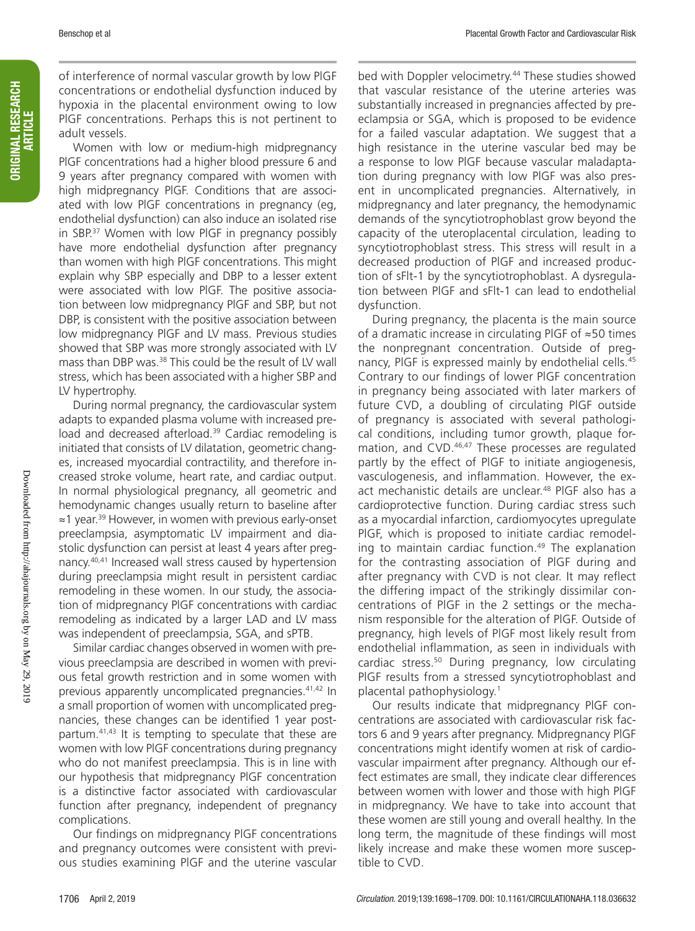of interference of normal vascular growth by low PlGF concentrations or endothelial dysfunction induced by hypoxia in the placental environment owing to low PlGF concentrations. Perhaps this is not pertinent to adult vessels.

Women with low or medium-high midpregnancy PlGF concentrations had a higher blood pressure 6 and 9 years after pregnancy compared with women with high midpregnancy PlGF. Conditions that are associated with low PlGF concentrations in pregnancy (eg, endothelial dysfunction) can also induce an isolated rise in SBP.37 Women with low PlGF in pregnancy possibly have more endothelial dysfunction after pregnancy than women with high PlGF concentrations. This might explain why SBP especially and DBP to a lesser extent were associated with low PlGF. The positive association between low midpregnancy PlGF and SBP, but not DBP, is consistent with the positive association between low midpregnancy PlGF and LV mass. Previous studies showed that SBP was more strongly associated with LV mass than DBP was.<sup>38</sup> This could be the result of LV wall stress, which has been associated with a higher SBP and LV hypertrophy.

During normal pregnancy, the cardiovascular system adapts to expanded plasma volume with increased preload and decreased afterload.<sup>39</sup> Cardiac remodeling is initiated that consists of LV dilatation, geometric changes, increased myocardial contractility, and therefore increased stroke volume, heart rate, and cardiac output. In normal physiological pregnancy, all geometric and hemodynamic changes usually return to baseline after ≈1 year.39 However, in women with previous early-onset preeclampsia, asymptomatic LV impairment and diastolic dysfunction can persist at least 4 years after pregnancy.40,41 Increased wall stress caused by hypertension during preeclampsia might result in persistent cardiac remodeling in these women. In our study, the association of midpregnancy PlGF concentrations with cardiac remodeling as indicated by a larger LAD and LV mass was independent of preeclampsia, SGA, and sPTB.

Similar cardiac changes observed in women with previous preeclampsia are described in women with previous fetal growth restriction and in some women with previous apparently uncomplicated pregnancies.41,42 In a small proportion of women with uncomplicated pregnancies, these changes can be identified 1 year postpartum.<sup>41,43</sup> It is tempting to speculate that these are women with low PlGF concentrations during pregnancy who do not manifest preeclampsia. This is in line with our hypothesis that midpregnancy PlGF concentration is a distinctive factor associated with cardiovascular function after pregnancy, independent of pregnancy complications.

Our findings on midpregnancy PlGF concentrations and pregnancy outcomes were consistent with previous studies examining PlGF and the uterine vascular bed with Doppler velocimetry.<sup>44</sup> These studies showed that vascular resistance of the uterine arteries was substantially increased in pregnancies affected by preeclampsia or SGA, which is proposed to be evidence for a failed vascular adaptation. We suggest that a high resistance in the uterine vascular bed may be a response to low PlGF because vascular maladaptation during pregnancy with low PlGF was also present in uncomplicated pregnancies. Alternatively, in midpregnancy and later pregnancy, the hemodynamic demands of the syncytiotrophoblast grow beyond the capacity of the uteroplacental circulation, leading to syncytiotrophoblast stress. This stress will result in a decreased production of PlGF and increased production of sFlt-1 by the syncytiotrophoblast. A dysregulation between PlGF and sFlt-1 can lead to endothelial dysfunction.

During pregnancy, the placenta is the main source of a dramatic increase in circulating PlGF of ≈50 times the nonpregnant concentration. Outside of pregnancy, PlGF is expressed mainly by endothelial cells.45 Contrary to our findings of lower PlGF concentration in pregnancy being associated with later markers of future CVD, a doubling of circulating PlGF outside of pregnancy is associated with several pathological conditions, including tumor growth, plaque formation, and CVD.<sup>46,47</sup> These processes are regulated partly by the effect of PlGF to initiate angiogenesis, vasculogenesis, and inflammation. However, the exact mechanistic details are unclear.<sup>48</sup> PIGF also has a cardioprotective function. During cardiac stress such as a myocardial infarction, cardiomyocytes upregulate PlGF, which is proposed to initiate cardiac remodeling to maintain cardiac function.<sup>49</sup> The explanation for the contrasting association of PlGF during and after pregnancy with CVD is not clear. It may reflect the differing impact of the strikingly dissimilar concentrations of PlGF in the 2 settings or the mechanism responsible for the alteration of PlGF. Outside of pregnancy, high levels of PlGF most likely result from endothelial inflammation, as seen in individuals with cardiac stress.<sup>50</sup> During pregnancy, low circulating PlGF results from a stressed syncytiotrophoblast and placental pathophysiology.1

Our results indicate that midpregnancy PlGF concentrations are associated with cardiovascular risk factors 6 and 9 years after pregnancy. Midpregnancy PlGF concentrations might identify women at risk of cardiovascular impairment after pregnancy. Although our effect estimates are small, they indicate clear differences between women with lower and those with high PlGF in midpregnancy. We have to take into account that these women are still young and overall healthy. In the long term, the magnitude of these findings will most likely increase and make these women more susceptible to CVD.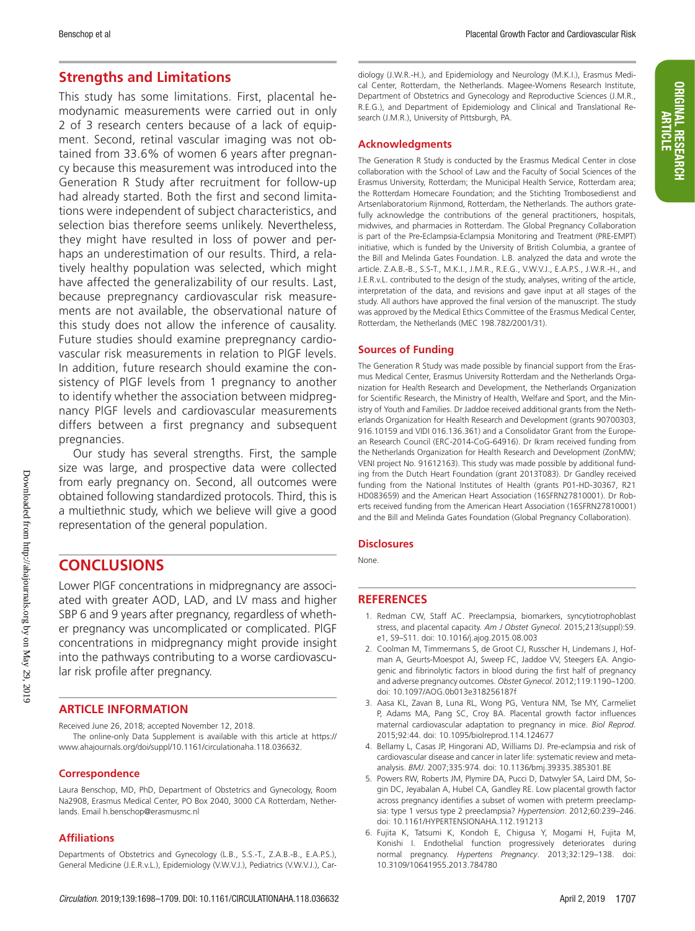# **ORIGINAL RESEARCH** ORIGINAL RESEARCH ARTICLE

### **Strengths and Limitations**

This study has some limitations. First, placental hemodynamic measurements were carried out in only 2 of 3 research centers because of a lack of equipment. Second, retinal vascular imaging was not obtained from 33.6% of women 6 years after pregnancy because this measurement was introduced into the Generation R Study after recruitment for follow-up had already started. Both the first and second limitations were independent of subject characteristics, and selection bias therefore seems unlikely. Nevertheless, they might have resulted in loss of power and perhaps an underestimation of our results. Third, a relatively healthy population was selected, which might have affected the generalizability of our results. Last, because prepregnancy cardiovascular risk measurements are not available, the observational nature of this study does not allow the inference of causality. Future studies should examine prepregnancy cardiovascular risk measurements in relation to PlGF levels. In addition, future research should examine the consistency of PlGF levels from 1 pregnancy to another to identify whether the association between midpregnancy PlGF levels and cardiovascular measurements differs between a first pregnancy and subsequent pregnancies.

Our study has several strengths. First, the sample size was large, and prospective data were collected from early pregnancy on. Second, all outcomes were obtained following standardized protocols. Third, this is a multiethnic study, which we believe will give a good representation of the general population.

## **CONCLUSIONS**

Lower PlGF concentrations in midpregnancy are associated with greater AOD, LAD, and LV mass and higher SBP 6 and 9 years after pregnancy, regardless of whether pregnancy was uncomplicated or complicated. PlGF concentrations in midpregnancy might provide insight into the pathways contributing to a worse cardiovascular risk profile after pregnancy.

#### **ARTICLE INFORMATION**

Received June 26, 2018; accepted November 12, 2018.

The online-only Data Supplement is available with this article at https:// www.ahajournals.org/doi/suppl/10.1161/circulationaha.118.036632.

#### **Correspondence**

Laura Benschop, MD, PhD, Department of Obstetrics and Gynecology, Room Na2908, Erasmus Medical Center, PO Box 2040, 3000 CA Rotterdam, Netherlands. Email [h.benschop@erasmusmc.nl](mailto:﻿h.benschop@erasmusmc.nl﻿)

#### **Affiliations**

Departments of Obstetrics and Gynecology (L.B., S.S.-T., Z.A.B.-B., E.A.P.S.), General Medicine (J.E.R.v.L.), Epidemiology (V.W.V.J.), Pediatrics (V.W.V.J.), Cardiology (J.W.R.-H.), and Epidemiology and Neurology (M.K.I.), Erasmus Medical Center, Rotterdam, the Netherlands. Magee-Womens Research Institute, Department of Obstetrics and Gynecology and Reproductive Sciences (J.M.R., R.E.G.), and Department of Epidemiology and Clinical and Translational Research (J.M.R.), University of Pittsburgh, PA.

#### **Acknowledgments**

The Generation R Study is conducted by the Erasmus Medical Center in close collaboration with the School of Law and the Faculty of Social Sciences of the Erasmus University, Rotterdam; the Municipal Health Service, Rotterdam area; the Rotterdam Homecare Foundation; and the Stichting Trombosedienst and Artsenlaboratorium Rijnmond, Rotterdam, the Netherlands. The authors gratefully acknowledge the contributions of the general practitioners, hospitals, midwives, and pharmacies in Rotterdam. The Global Pregnancy Collaboration is part of the Pre-Eclampsia-Eclampsia Monitoring and Treatment (PRE-EMPT) initiative, which is funded by the University of British Columbia, a grantee of the Bill and Melinda Gates Foundation. L.B. analyzed the data and wrote the article. Z.A.B.-B., S.S-T., M.K.I., J.M.R., R.E.G., V.W.V.J., E.A.P.S., J.W.R.-H., and J.E.R.v.L. contributed to the design of the study, analyses, writing of the article, interpretation of the data, and revisions and gave input at all stages of the study. All authors have approved the final version of the manuscript. The study was approved by the Medical Ethics Committee of the Erasmus Medical Center, Rotterdam, the Netherlands (MEC 198.782/2001/31).

#### **Sources of Funding**

The Generation R Study was made possible by financial support from the Erasmus Medical Center, Erasmus University Rotterdam and the Netherlands Organization for Health Research and Development, the Netherlands Organization for Scientific Research, the Ministry of Health, Welfare and Sport, and the Ministry of Youth and Families. Dr Jaddoe received additional grants from the Netherlands Organization for Health Research and Development (grants 90700303, 916.10159 and VIDI 016.136.361) and a Consolidator Grant from the European Research Council (ERC-2014-CoG-64916). Dr Ikram received funding from the Netherlands Organization for Health Research and Development (ZonMW; VENI project No. 91612163). This study was made possible by additional funding from the Dutch Heart Foundation (grant 2013T083). Dr Gandley received funding from the National Institutes of Health (grants P01-HD-30367, R21 HD083659) and the American Heart Association (16SFRN27810001). Dr Roberts received funding from the American Heart Association (16SFRN27810001) and the Bill and Melinda Gates Foundation (Global Pregnancy Collaboration).

#### **Disclosures**

None.

#### **REFERENCES**

- 1. Redman CW, Staff AC. Preeclampsia, biomarkers, syncytiotrophoblast stress, and placental capacity. *Am J Obstet Gynecol*. 2015;213(suppl):S9. e1, S9–S11. doi: 10.1016/j.ajog.2015.08.003
- 2. Coolman M, Timmermans S, de Groot CJ, Russcher H, Lindemans J, Hofman A, Geurts-Moespot AJ, Sweep FC, Jaddoe VV, Steegers EA. Angiogenic and fibrinolytic factors in blood during the first half of pregnancy and adverse pregnancy outcomes. *Obstet Gynecol*. 2012;119:1190–1200. doi: 10.1097/AOG.0b013e318256187f
- 3. Aasa KL, Zavan B, Luna RL, Wong PG, Ventura NM, Tse MY, Carmeliet P, Adams MA, Pang SC, Croy BA. Placental growth factor influences maternal cardiovascular adaptation to pregnancy in mice. *Biol Reprod*. 2015;92:44. doi: 10.1095/biolreprod.114.124677
- 4. Bellamy L, Casas JP, Hingorani AD, Williams DJ. Pre-eclampsia and risk of cardiovascular disease and cancer in later life: systematic review and metaanalysis. *BMJ*. 2007;335:974. doi: 10.1136/bmj.39335.385301.BE
- 5. Powers RW, Roberts JM, Plymire DA, Pucci D, Datwyler SA, Laird DM, Sogin DC, Jeyabalan A, Hubel CA, Gandley RE. Low placental growth factor across pregnancy identifies a subset of women with preterm preeclampsia: type 1 versus type 2 preeclampsia? *Hypertension*. 2012;60:239–246. doi: 10.1161/HYPERTENSIONAHA.112.191213
- 6. Fujita K, Tatsumi K, Kondoh E, Chigusa Y, Mogami H, Fujita M, Konishi I. Endothelial function progressively deteriorates during normal pregnancy. *Hypertens Pregnancy*. 2013;32:129–138. doi: 10.3109/10641955.2013.784780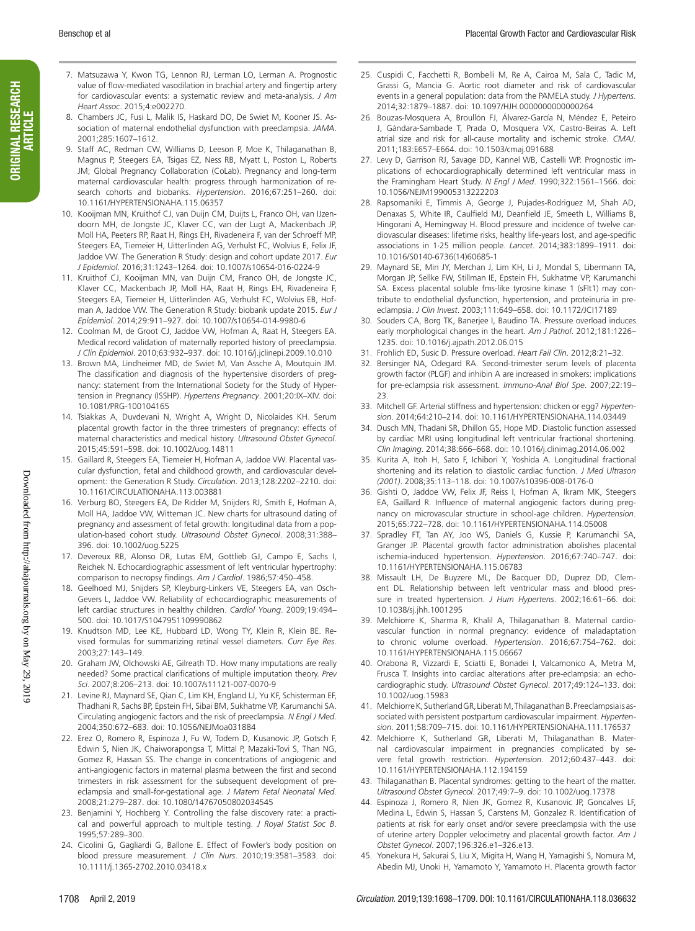- ORIGINAL RESEARCH ORIGINAL RESEARCH<br>ARTICLE
- 7. Matsuzawa Y, Kwon TG, Lennon RJ, Lerman LO, Lerman A. Prognostic value of flow-mediated vasodilation in brachial artery and fingertip artery for cardiovascular events: a systematic review and meta-analysis. *J Am Heart Assoc*. 2015;4:e002270.
- 8. Chambers JC, Fusi L, Malik IS, Haskard DO, De Swiet M, Kooner JS. Association of maternal endothelial dysfunction with preeclampsia. *JAMA*. 2001;285:1607–1612.
- 9. Staff AC, Redman CW, Williams D, Leeson P, Moe K, Thilaganathan B, Magnus P, Steegers EA, Tsigas EZ, Ness RB, Myatt L, Poston L, Roberts JM; Global Pregnancy Collaboration (CoLab). Pregnancy and long-term maternal cardiovascular health: progress through harmonization of research cohorts and biobanks. *Hypertension*. 2016;67:251–260. doi: 10.1161/HYPERTENSIONAHA.115.06357
- 10. Kooijman MN, Kruithof CJ, van Duijn CM, Duijts L, Franco OH, van IJzendoorn MH, de Jongste JC, Klaver CC, van der Lugt A, Mackenbach JP, Moll HA, Peeters RP, Raat H, Rings EH, Rivadeneira F, van der Schroeff MP, Steegers EA, Tiemeier H, Uitterlinden AG, Verhulst FC, Wolvius E, Felix JF, Jaddoe VW. The Generation R Study: design and cohort update 2017. *Eur J Epidemiol*. 2016;31:1243–1264. doi: 10.1007/s10654-016-0224-9
- 11. Kruithof CJ, Kooijman MN, van Duijn CM, Franco OH, de Jongste JC, Klaver CC, Mackenbach JP, Moll HA, Raat H, Rings EH, Rivadeneira F, Steegers EA, Tiemeier H, Uitterlinden AG, Verhulst FC, Wolvius EB, Hofman A, Jaddoe VW. The Generation R Study: biobank update 2015. *Eur J Epidemiol*. 2014;29:911–927. doi: 10.1007/s10654-014-9980-6
- 12. Coolman M, de Groot CJ, Jaddoe VW, Hofman A, Raat H, Steegers EA. Medical record validation of maternally reported history of preeclampsia. *J Clin Epidemiol*. 2010;63:932–937. doi: 10.1016/j.jclinepi.2009.10.010
- 13. Brown MA, Lindheimer MD, de Swiet M, Van Assche A, Moutquin JM. The classification and diagnosis of the hypertensive disorders of pregnancy: statement from the International Society for the Study of Hypertension in Pregnancy (ISSHP). *Hypertens Pregnancy*. 2001;20:IX–XIV. doi: 10.1081/PRG-100104165
- 14. Tsiakkas A, Duvdevani N, Wright A, Wright D, Nicolaides KH. Serum placental growth factor in the three trimesters of pregnancy: effects of maternal characteristics and medical history. *Ultrasound Obstet Gynecol*. 2015;45:591–598. doi: 10.1002/uog.14811
- 15. Gaillard R, Steegers EA, Tiemeier H, Hofman A, Jaddoe VW. Placental vascular dysfunction, fetal and childhood growth, and cardiovascular development: the Generation R Study. *Circulation*. 2013;128:2202–2210. doi: 10.1161/CIRCULATIONAHA.113.003881
- 16. Verburg BO, Steegers EA, De Ridder M, Snijders RJ, Smith E, Hofman A, Moll HA, Jaddoe VW, Witteman JC. New charts for ultrasound dating of pregnancy and assessment of fetal growth: longitudinal data from a population-based cohort study. *Ultrasound Obstet Gynecol*. 2008;31:388– 396. doi: 10.1002/uog.5225
- 17. Devereux RB, Alonso DR, Lutas EM, Gottlieb GJ, Campo E, Sachs I, Reichek N. Echocardiographic assessment of left ventricular hypertrophy: comparison to necropsy findings. *Am J Cardiol*. 1986;57:450–458.
- 18. Geelhoed MJ, Snijders SP, Kleyburg-Linkers VE, Steegers EA, van Osch-Gevers L, Jaddoe VW. Reliability of echocardiographic measurements of left cardiac structures in healthy children. *Cardiol Young*. 2009;19:494– 500. doi: 10.1017/S1047951109990862
- 19. Knudtson MD, Lee KE, Hubbard LD, Wong TY, Klein R, Klein BE. Revised formulas for summarizing retinal vessel diameters. *Curr Eye Res*. 2003;27:143–149.
- 20. Graham JW, Olchowski AE, Gilreath TD. How many imputations are really needed? Some practical clarifications of multiple imputation theory. *Prev Sci*. 2007;8:206–213. doi: 10.1007/s11121-007-0070-9
- 21. Levine RJ, Maynard SE, Qian C, Lim KH, England LJ, Yu KF, Schisterman EF, Thadhani R, Sachs BP, Epstein FH, Sibai BM, Sukhatme VP, Karumanchi SA. Circulating angiogenic factors and the risk of preeclampsia. *N Engl J Med*. 2004;350:672–683. doi: 10.1056/NEJMoa031884
- 22. Erez O, Romero R, Espinoza J, Fu W, Todem D, Kusanovic JP, Gotsch F, Edwin S, Nien JK, Chaiworapongsa T, Mittal P, Mazaki-Tovi S, Than NG, Gomez R, Hassan SS. The change in concentrations of angiogenic and anti-angiogenic factors in maternal plasma between the first and second trimesters in risk assessment for the subsequent development of preeclampsia and small-for-gestational age. *J Matern Fetal Neonatal Med*. 2008;21:279–287. doi: 10.1080/14767050802034545
- 23. Benjamini Y, Hochberg Y. Controlling the false discovery rate: a practical and powerful approach to multiple testing. *J Royal Statist Soc B*. 1995;57:289–300.
- 24. Cicolini G, Gagliardi G, Ballone E. Effect of Fowler's body position on blood pressure measurement. *J Clin Nurs*. 2010;19:3581–3583. doi: 10.1111/j.1365-2702.2010.03418.x
- 25. Cuspidi C, Facchetti R, Bombelli M, Re A, Cairoa M, Sala C, Tadic M, Grassi G, Mancia G. Aortic root diameter and risk of cardiovascular events in a general population: data from the PAMELA study. *J Hypertens*. 2014;32:1879–1887. doi: 10.1097/HJH.0000000000000264
- 26. Bouzas-Mosquera A, Broullón FJ, Álvarez-García N, Méndez E, Peteiro J, Gándara-Sambade T, Prada O, Mosquera VX, Castro-Beiras A. Left atrial size and risk for all-cause mortality and ischemic stroke. *CMAJ*. 2011;183:E657–E664. doi: 10.1503/cmaj.091688
- 27. Levy D, Garrison RJ, Savage DD, Kannel WB, Castelli WP. Prognostic implications of echocardiographically determined left ventricular mass in the Framingham Heart Study. *N Engl J Med*. 1990;322:1561–1566. doi: 10.1056/NEJM199005313222203
- 28. Rapsomaniki E, Timmis A, George J, Pujades-Rodriguez M, Shah AD, Denaxas S, White IR, Caulfield MJ, Deanfield JE, Smeeth L, Williams B, Hingorani A, Hemingway H. Blood pressure and incidence of twelve cardiovascular diseases: lifetime risks, healthy life-years lost, and age-specific associations in 1·25 million people. *Lancet*. 2014;383:1899–1911. doi: 10.1016/S0140-6736(14)60685-1
- 29. Maynard SE, Min JY, Merchan J, Lim KH, Li J, Mondal S, Libermann TA, Morgan JP, Sellke FW, Stillman IE, Epstein FH, Sukhatme VP, Karumanchi SA. Excess placental soluble fms-like tyrosine kinase 1 (sFlt1) may contribute to endothelial dysfunction, hypertension, and proteinuria in preeclampsia. *J Clin Invest*. 2003;111:649–658. doi: 10.1172/JCI17189
- 30. Souders CA, Borg TK, Banerjee I, Baudino TA. Pressure overload induces early morphological changes in the heart. *Am J Pathol*. 2012;181:1226– 1235. doi: 10.1016/j.ajpath.2012.06.015
- 31. Frohlich ED, Susic D. Pressure overload. *Heart Fail Clin*. 2012;8:21–32.
- 32. Bersinger NA, Odegard RA. Second-trimester serum levels of placenta growth factor (PLGF) and inhibin A are increased in smokers: implications for pre-eclampsia risk assessment. *Immuno-Anal Biol Spe*. 2007;22:19– 23.
- 33. Mitchell GF. Arterial stiffness and hypertension: chicken or egg? *Hypertension*. 2014;64:210–214. doi: 10.1161/HYPERTENSIONAHA.114.03449
- 34. Dusch MN, Thadani SR, Dhillon GS, Hope MD. Diastolic function assessed by cardiac MRI using longitudinal left ventricular fractional shortening. *Clin Imaging*. 2014;38:666–668. doi: 10.1016/j.clinimag.2014.06.002
- 35. Kurita A, Itoh H, Sato F, Ichibori Y, Yoshida A. Longitudinal fractional shortening and its relation to diastolic cardiac function. *J Med Ultrason (2001)*. 2008;35:113–118. doi: 10.1007/s10396-008-0176-0
- 36. Gishti O, Jaddoe VW, Felix JF, Reiss I, Hofman A, Ikram MK, Steegers EA, Gaillard R. Influence of maternal angiogenic factors during pregnancy on microvascular structure in school-age children. *Hypertension*. 2015;65:722–728. doi: 10.1161/HYPERTENSIONAHA.114.05008
- 37. Spradley FT, Tan AY, Joo WS, Daniels G, Kussie P, Karumanchi SA, Granger JP. Placental growth factor administration abolishes placental ischemia-induced hypertension. *Hypertension*. 2016;67:740–747. doi: 10.1161/HYPERTENSIONAHA.115.06783
- 38. Missault LH, De Buyzere ML, De Bacquer DD, Duprez DD, Clement DL. Relationship between left ventricular mass and blood pressure in treated hypertension. *J Hum Hypertens*. 2002;16:61–66. doi: 10.1038/sj.jhh.1001295
- 39. Melchiorre K, Sharma R, Khalil A, Thilaganathan B. Maternal cardiovascular function in normal pregnancy: evidence of maladaptation to chronic volume overload. *Hypertension*. 2016;67:754–762. doi: 10.1161/HYPERTENSIONAHA.115.06667
- 40. Orabona R, Vizzardi E, Sciatti E, Bonadei I, Valcamonico A, Metra M, Frusca T. Insights into cardiac alterations after pre-eclampsia: an echocardiographic study. *Ultrasound Obstet Gynecol*. 2017;49:124–133. doi: 10.1002/uog.15983
- 41. Melchiorre K, Sutherland GR, Liberati M, Thilaganathan B. Preeclampsia is associated with persistent postpartum cardiovascular impairment. *Hypertension*. 2011;58:709–715. doi: 10.1161/HYPERTENSIONAHA.111.176537
- 42. Melchiorre K, Sutherland GR, Liberati M, Thilaganathan B. Maternal cardiovascular impairment in pregnancies complicated by severe fetal growth restriction. *Hypertension*. 2012;60:437–443. doi: 10.1161/HYPERTENSIONAHA.112.194159
- 43. Thilaganathan B. Placental syndromes: getting to the heart of the matter. *Ultrasound Obstet Gynecol*. 2017;49:7–9. doi: 10.1002/uog.17378
- 44. Espinoza J, Romero R, Nien JK, Gomez R, Kusanovic JP, Goncalves LF, Medina L, Edwin S, Hassan S, Carstens M, Gonzalez R. Identification of patients at risk for early onset and/or severe preeclampsia with the use of uterine artery Doppler velocimetry and placental growth factor. *Am J Obstet Gynecol*. 2007;196:326.e1–326.e13.
- 45. Yonekura H, Sakurai S, Liu X, Migita H, Wang H, Yamagishi S, Nomura M, Abedin MJ, Unoki H, Yamamoto Y, Yamamoto H. Placenta growth factor